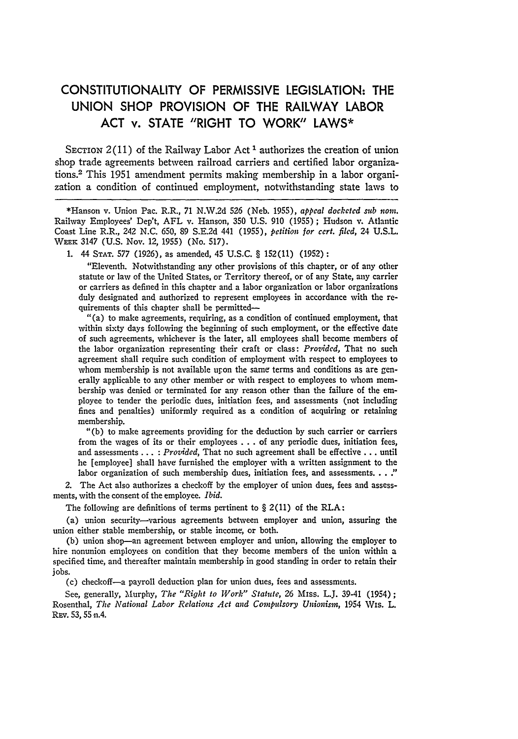## **CONSTITUTIONALITY** OF PERMISSIVE **LEGISLATION:** THE **UNION SHOP** PROVISION OF THE RAILWAY LABOR **ACT** v. **STATE** "RIGHT TO WORK" LAWS\*

SECTION  $2(11)$  of the Railway Labor Act<sup>1</sup> authorizes the creation of union shop trade agreements between railroad carriers and certified labor organizations.2 This 1951 amendment permits making membership in a labor organization a condition of continued employment, notwithstanding state laws to

\*Hanson v. Union Pac. R.R., 71 N.W.2d **526** (Neb. **1955),** *appeal docketed sub non.* Railway Employees' Dep't, AFL v. Hanson, 350 U.S. 910 (1955); Hudson v. Atlantic Coast Line R.R., 242 N.C. 650, 89 S.E.2d 441 (1955), *petition for cert. filed,* 24 U.S.L. **WEEK** 3147 (U.S. Nov. 12, 1955) (No. 517).

1. 44 **STAT.** 577 (1926), as amended, 45 U.S.C. § 152(11) (1952)

"Eleventh. Notwithstanding any other provisions of this chapter, or of any other statute or law of the United States, or Territory thereof, or of any State, any carrier or carriers as defined in this chapter and a labor organization or labor organizations duly designated and authorized to represent employees in accordance with the requirements of this chapter shall be permitted-

"(a) to make agreements, requiring, as a condition of continued employment, that within sixty days following the beginning of such employment, or the effective date of such agreements, whichever is the later, all employees shall become members of the labor organization representing their craft or class: *Provided,* That no such agreement shall require such condition of employment with respect to employees to whom membership is not available uron the same terms and conditions as are generally applicable to any other member or with respect to employees to whom membership was denied or terminated for any reason other than the failure of the employee to tender the periodic dues, initiation fees, and assessments (not including fines and penalties) uniformly required as a condition of acquiring or retaining membership.

"(b) to make agreements providing for the deduction by such carrier or carriers from the wages of its or their employees . . . of any periodic dues, initiation fees, and assessments ... : *Provided,* That no such agreement shall be effective **...** until he [employee] shall have furnished the employer with a written assignment to the labor organization of such membership dues, initiation fees, and assessments. **. .**

2. The Act also authorizes a checkoff by the employer of union dues, fees and assessments, with the consent of the employee. *Ibid.*

The following are definitions of terms pertinent to  $\S 2(11)$  of the RLA:

(a) union security-various agreements between employer and union, assuring the union either stable membership, or stable income, or both.

(b) union shop-an agreement between employer and union, allowing the employer to hire nonunion employees on condition that they become members of the union within a specified time, and thereafter maintain membership in good standing in order to retain their jobs.

(c) checkoff-a payroll deduction plan for union dues, fees and assessments.

See, generally, Murphy, *The "Right to Work" Statute,* 26 Miss. L.J. 39-41 (1954); Rosenthal, *The National Labor Relations Act and Compulsory Unionism,* 1954 Wis. L. REv. 53, 55 n.4.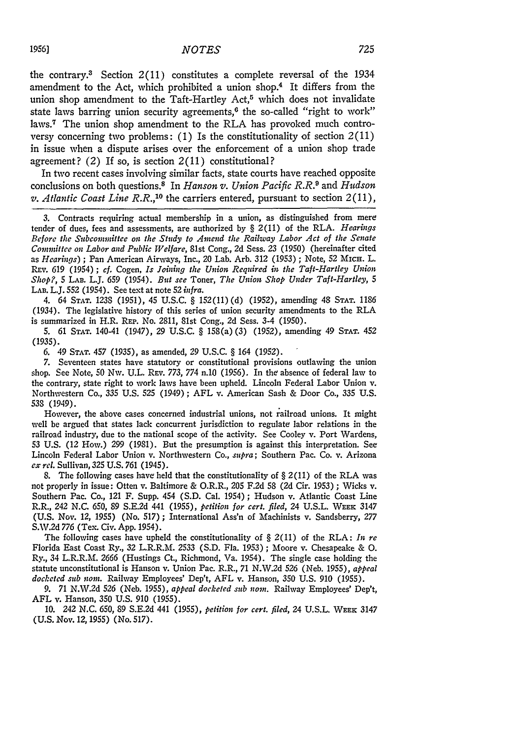the contrary.3 Section 2(11) constitutes a complete reversal of the 1934 amendment to the Act, which prohibited a union shop.4 It differs from the union shop amendment to the Taft-Hartley Act,<sup>5</sup> which does not invalidate state laws barring union security agreements,<sup>6</sup> the so-called "right to work" laws.7 The union shop amendment to the RLA has provoked much controversy concerning two problems: (1) Is the constitutionality of section  $2(11)$ in issue when a dispute arises over the enforcement of a union shop trade agreement? (2) If so, is section  $2(11)$  constitutional?

In two recent cases involving similar facts, state courts have reached opposite conclusions on both questions.8 In *Hanson v. Union Pacific R.R.9* and *Hudson*  $v.$  Atlantic Coast Line  $R.R.,<sup>10</sup>$  the carriers entered, pursuant to section  $2(11),$ 

3. Contracts requiring actual membership in a union, as distinguished from mere tender of dues, fees and assessments, are authorized **by** § 2(11) of the RLA. *Hearings Before the Subcommittee on the Study to Amend the Railway Labor Act of the Senate Committee on Labor and Public Welfare,* 81st Cong., 2d Sess. 23 (1950) (hereinafter cited as *Hearings) ;* Pan American Airways, Inc., 20 Lab. Arb. 312 (1953) ; Note, 52 MicH. L. RPv. 619 (1954) **;** *cf.* Cogen, *Is Joining the Union Required in the Taft-Hartley Union Shop?, 5* **LAB.** L.J. 659 (1954). *But see* Toner, *The Union Shop Under Taft-Hartley, 5* LAB. L.J. 552 (1954). See text at note 52 *infra.*

4. 64 **STAT.** 1238 (1951), 45 U.S.C. § 152(11)(d) (1952), amending 48 **STAT.** 1186 (1934). The legislative history of this series of union security amendments to the RLA is summarized in H.R. REP. No. 2811, 81st Cong., 2d Sess. 3-4 (1950).

5. 61 **STAT.** 140-41 (1947), 29 U.S.C. § 158(a) (3) (1952), amending 49 **STAT.** 452 (1935).

6. 49 **STAT.** 457 (1935), as amended, 29 U.S.C. § 164 (1952).

7. Seventeen states have statutory or constitutional provisions outlawing the union shop. See Note, 50 Nw. U.L. REv. 773, 774 n.10 (1956). In the absence of federal law to the contrary, state right to work laws have been upheld. Lincoln Federal Labor Union v. Northwestern Co., 335 U.S. 525 (1949) ; AFL v. American Sash & Door Co., 335 U.S. **538** (1949).

However, the above cases concerned industrial unions, not railroad unions. It might well be argued that states lack concurrent jurisdiction to regulate labor relations in the railroad industry, due to the national scope of the activity. See Cooley v. Port Wardens, 53 U.S. (12 How.) 299 (1981). But the presumption is against this interpretation. See Lincoln Federal Labor Union v. Northwestern Co., *supra;* Southern Pac. Co. v. Arizona *cx rel.* Sullivan, 325 U.S. 761 (1945).

8. The following cases have held that the constitutionality of  $\S 2(11)$  of the RLA was not properly in issue: Otten v. Baltimore & O.R.R., 205 F.2d 58 (2d Cir. 1953) ; Wicks v. Southern Pac. Co., 121 F. Supp. 454 (S.D. Cal. 1954) ; Hudson v. Atlantic Coast Line R.R., 242 N.C. 650, 89 S.E.2d 441 (1955), *petition for cert. filed,* 24 U.S.L. **WEEK** 3147 (U.S. Nov. *12,* 1955) (No. 517) ; International Ass'n of Machinists v. Sandsberry, 277 **S.W.2d** 776 (Tex. Civ. App. 1954).

The following cases have upheld the constitutionality of § 2(11) of the RLA: *In re* Florida East Coast Ry., 32 L.R.R.M. 2533 (S.D. Fla. 1953); Moore v. Chesapeake & **0.** Ry., 34 L.R.R.M. *2666* (Hustings Ct., Richmond, Va. 1954). The single case holding the statute unconstitutional is Hanson v. Union Pac. R.R., 71 N.W.2d **526** (Neb. 1955), *appeal docketed sub non.* Railway Employees' Dep't, AFL v. Hanson, 350 U.S. 910 (1955).

*9.* 71 N.W.2d **526** (Neb. 1955), *appeal docketed sub non.* Railway Employees' Dep't, AFL v. Hanson, **350** U.S. 910 (1955).

10. 242 N.C. *650,* 89 S.E.2d 441 (1955), *petition for cert. filed,* 24 U.S.L. **WEEK** 3147 **(U.S.** Nov. **12, 1955)** (No.517).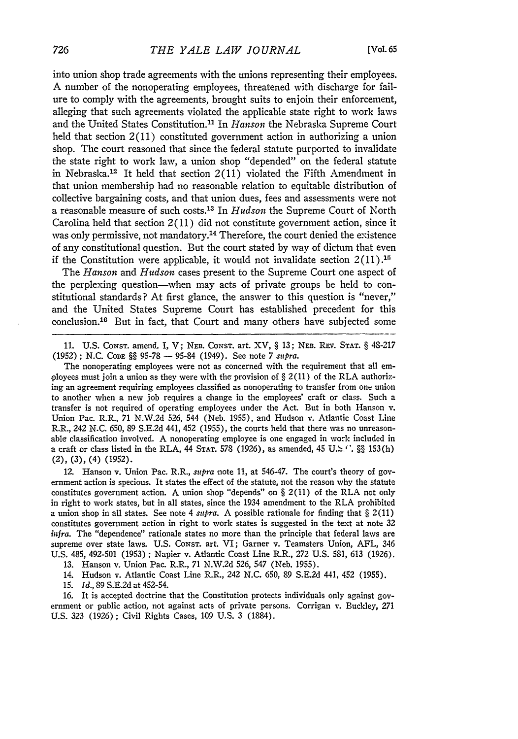into union shop trade agreements with the unions representing their employees. A number of the nonoperating employees, threatened with discharge for failure to comply with the agreements, brought suits to enjoin their enforcement, alleging that such agreements violated the applicable state right to work laws and the United States Constitution.<sup>11</sup> In *Hanson* the Nebraska Supreme Court held that section 2(11) constituted government action in authorizing a union shop. The court reasoned that since the federal statute purported to invalidate the state right to work law, a union shop "depended" on the federal statute in Nebraska.<sup>12</sup> It held that section  $2(11)$  violated the Fifth Amendment in that union membership had no reasonable relation to equitable distribution of collective bargaining costs, and that union dues, fees and assessments were not a reasonable measure of such costs. 13 In *Hudson* the Supreme Court of North Carolina held that section 2(11) did not constitute government action, since it was only permissive, not mandatory.<sup>14</sup> Therefore, the court denied the existence of any constitutional question. But the court stated by way of dictum that even if the Constitution were applicable, it would not invalidate section  $2(11).$ <sup>15</sup>

The *Hanson* and *Hudson* cases present to the Supreme Court one aspect of the perplexing question-when may acts of private groups be held to constitutional standards? At first glance, the answer to this question is "never," and the United States Supreme Court has established precedent for this conclusion.16 But in fact, that Court and many others have subjected some

11. U.S. CoNsT. amend. I, V; NEB. CONST. art. XV, § 13; **NEB.** REV. STAT. § 48-217 (1952) **; N.C.** CODE §§ 95-78 - 95-84 (1949). See note **7** *supra.*

The nonoperating employees were not as concerned with the requirement that all employees must join a union as they were with the provision of  $\S 2(11)$  of the RLA authorizing an agreement requiring employees classified as nonoperating to transfer from one union to another when a new **job** requires a change in the employees' craft or class. Such a transfer is not required of operating employees under the Act. But in both Hanson v. Union Pac. R.R., 71 N.W.2d 526, 544 (Neb. 1955), and Hudson v. Atlantic Coast Line R.R., 242 N.C. 650, 89 S.E.2d 441, 452 (1955), the courts held that there was no unreasonable classification involved. A nonoperating employee is one engaged in work included in a craft or class listed in the RLA, 44 STAT. 578 (1926), as amended, 45 **U. :.** §§ 153(h) (2), **(3),** (4) **(1952).**

12. Hanson v. Union Pac. R.R., *supra* note **11,** at 546-47. The court's theory of government action is specious. It states the effect of the statute, not the reason why the statute constitutes government action. A union shop "depends" on § 2(11) of the RLA not only in right to work states, but in all states, since the 1934 amendment to the RLA prohibited a union shop in all states. See note 4 *supra.* A possible rationale for finding that § 2(11) constitutes government action in right to work states is suggested in the text at note 32 *infra.* The "dependence" rationale states no more than the principle that federal laws are supreme over state laws. U.S. CoNsT. art. VI; Garner v. Teamsters Union, AFL, 346 U.S. 485, 492-501 (1953) ; Napier v. Atlantic Coast Line R.R., 272 U.S. 581, 613 (1926).

13. Hanson v. Union Pac. R.R., 71 N.W.2d 526, 547 (Neb. 1955).

14. Hudson v. Atlantic Coast Line R.R., 242 N.C. 650, 89 S.E.2d 441, 452 (1955).

15. *Id.,* 89 S.E.2d at 452-54.

16. It is accepted doctrine that the Constitution protects individuals only against government or public action, not against acts of private persons. Corrigan v. Buckley, 271 U.S. 323 (1926); Civil Rights Cases, 109 U.S. 3 (1884).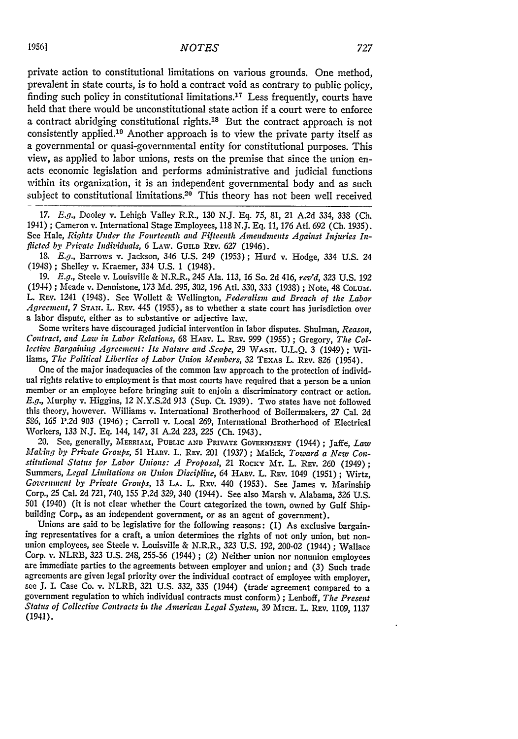private action to constitutional limitations on various grounds. One method, prevalent in state courts, is to hold a contract void as contrary to public policy, finding such policy in constitutional limitations.17 Less frequently, courts have held that there would be unconstitutional state action if a court were to enforce a contract abridging constitutional rights.'8 But the contract approach is not consistently applied.<sup>19</sup> Another approach is to view the private party itself as a governmental or quasi-governmental entity for constitutional purposes. This view, as applied to labor unions, rests on the premise that since the union enacts economic legislation and performs administrative and judicial functions within its organization, it is an independent governmental body and as such subiect to constitutional limitations.<sup>20</sup> This theory has not been well received

*17. E.g.,* Dooley v. Lehigh Valley R.R., 130 **N.J. Eq.** 75, 81, 21 A.2d 334, 338 **(Ch.** 1941) ; Cameron v. International Stage Employees, 118 N.J. **Eq.** 11, **176** AtI. **692 (Ch.** 1935). See Hale, *Rights Under the Fourteenth and Fifteenth Amendments Against Injuries Inflicted by Private Individuals,* 6 LAw. GUILD REv. **627** (1946).

13. *E.g.,* Barrows v. Jackson, 346 U.S. 249 (1953); Hurd v. Hodge, 334 U.S. 24 (1948); Shelley v. Kraemer, 334 U.S. 1 (1948).

19. *E.g.,* Steele v. Louisville & N.R.R., 245 Ala. 113, 16 So. 2d 416, *rev'd, 323* U.S. 192 (1944) ; Meade v. Dennistone, 173 Md. 295, 302, 196 Atl. 330, 333 (1938) ; Note, 48 CoLUM. L. REV. 1241 (1948). See Wollett & Wellington, *Federalism and Breach of the Labor Agreenzent, 7* **STAN.** L. REv. 445 (1955), as to whether a state court has jurisdiction over a labor dispute, either as to substantive or adjective law.

Some writers have discouraged judicial intervention in labor disputes. Shulman, *Reason, Contract, and Law in Labor Relations,* 68 **HARv.** L. REv. 999 (1955) ; Gregory, *The Collective Bargaining Agreement: Its Nature and Scope,* 29 **WASH. U.L.Q.** 3 (1949) ; Williams, *The Political Liberties of Labor Union Members*, 32 TEXAS L. REV. 826 (1954).

One of the major inadequacies of the common law approach to the protection of individual rights relative to employment is that most courts have required that a person be a union member or an employee before bringing suit to enjoin a discriminatory contract or action. *E.g.,* Murphy v. Higgins, 12 N.Y.S.2d 913 (Sup. Ct. 1939). Two states have not followed this theory, however. Williams v. International Brotherhood of Boilermakers, 27 Cal. 2d *586,* 165 P.2d 903 (1946) **;** Carroll v. Local 269, International Brotherhood of Electrical Workers, 133 N.J. Eq. 144, 147, 31 A.2d 223, 225 (Ch. 1943).

20. See, generally, MERRIAM, **PUBLIC AND PRIVATE GOVERNMENT** (1944) **;** Jaffe, *Law Making by Private Groups,* 51 HARv. L. REv. 201 (1937) **;** Malick, *Toward a New Con*stitutional Status for Labor Unions: A Proposal, 21 Rocky MT. L. REV. 260 (1949); Summers, *Legal Limitations on Union Discipline, 64* HARv. L. **REV.** 1049 (1951) **;** Wirtz, *Government by Private Groups,* 13 LA. L. REv. 440 (1953). See James v. Marinship Corp., 25 Cal. *2d* 721, 740, 155 P.2d 329, 340 (1944). See also Marsh v. Alabama, 326 U.S. 501 (1940) (it is not clear whether the Court categorized the town, owned by Gulf Shipbuilding Corp., as an independent government, or as an agent of government).

Unions are said to be legislative for the following reasons: (1) As exclusive bargaining representatives for a craft, a union determines the rights of not only union, but nonunion employees, see Steele v. Louisville & N.R.R., 323 U.S. 192, 200-02 (1944); Wallace Corp. v. NLRB, 323 U.S. 248, 255-56 (1944) ; (2) Neither union nor nonunion employees are immediate parties to the agreements between employer and union; and (3) Such trade agreements are given legal priority over the individual contract of employee with employer, see J. I. Case Co. v. NLRB, 321 U.S. *332,* 335 (1944) (trade agreement compared to a government regulation to which individual contracts must conform) ; Lenhoff, *The Present Status of Collective Contracts in the American Legal System,* 39 MICH. L. REv. 1109, 1137 (1941).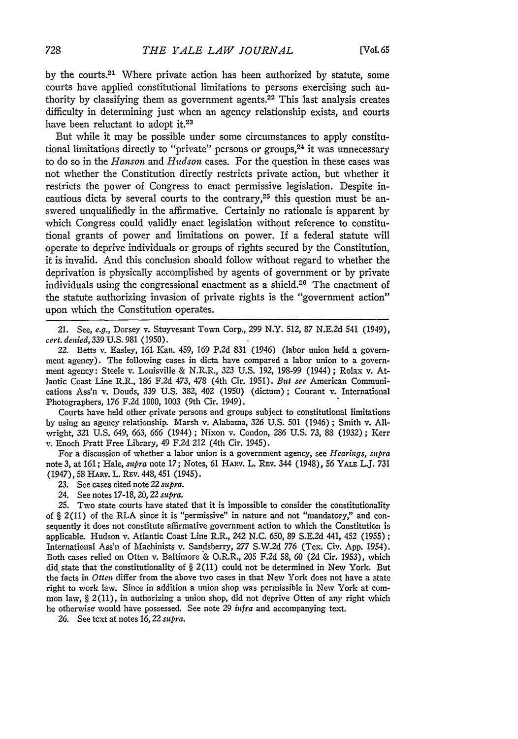by the courts.21 Where private action has been authorized by statute, some courts have applied constitutional limitations to persons exercising such authority by classifying them as government agents. $22$  This last analysis creates difficulty in determining just when an agency relationship exists, and courts have been reluctant to adopt it.<sup>23</sup>

But while it may be possible under some circumstances to apply constitutional limitations directly to "private" persons or groups, $24$  it was unnecessary to do so in the *Hanson* and *Hudson* cases. For the question in these cases was not whether the Constitution directly restricts private action, but whether it restricts the power of Congress to enact permissive legislation. Despite incautious dicta by several courts to the contrary, $25$  this question must be answered unqualifiedly in the affirmative. Certainly no rationale is apparent by which Congress could validly enact legislation without reference to constitutional grants of power and limitations on power. If a federal statute will operate to deprive individuals or groups of rights secured by the Constitution, it is invalid. And this conclusion should follow without regard to whether the deprivation is physically accomplished by agents of government or by private individuals using the congressional enactment as a shield.<sup>26</sup> The enactment of the statute authorizing invasion of private rights is the "government action" upon which the Constitution operates.

21. See, *e.g.,* Dorsey v. Stuyvesant Town Corp., 299 N.Y. 512, 87 N.E.2d 541 (1949), *cert. denied,* 339 U.S. 981 (1950).

22. Betts v. Easley, 161, Kan. 459, 169 P.2d 831 (1946) (labor union held a government agency). The following cases in dicta have compared a labor union to a government agency: Steele v. Louisville & N.R.R., 323 U.S. 192, 198-99 (1944) ; Rolax v. Atlantic Coast Line R.R., 186 F.2d *473,* 478 (4th Cir. 1951). *But see* American Communications Ass'n v. Douds, 339 U.S. 382, 402 (1950) (dictum) ; Courant v. International Photographers, 176 F.2d 1000, 1003 (9th Cir. 1949).

Courts have held other private persons and groups subject to constitutional limitations by using an agency relationship. Marsh v. Alabama, 326 U.S. 501 (1946) ; Smith v. Allwright, 321 U.S. 649, 663, 666 (1944) ; Nixon v. Condon, 286 U.S. 73, 88 (1932) ; Kerr v. Enoch Pratt Free Library, 49 F.2d 212 (4th Cir. 1945).

For a discussion of whether a labor union is a government agency, see *Hearings, supra* note 3, at 161; Hale, *supra* note 17; Notes, 61 HARv. L. Rtv. 344 (1948), 56 YALE L.J. 731 (1947), 58 HARV. L. REv. 448, 451 (1945).

23. See cases cited note 22 *supra.*

24. See notes 17-18, 20,22 *supra.*

25. Two state courts have stated that it is impossible to consider the constitutionality of § 2(11) of the RLA since it is "permissive" in nature and not "mandatory," and consequently it does not constitute affirmative government action to which the Constitution is applicable. Hudson v. Atlantic Coast Line R.R., 242 N.C. 650, 89 S.E.2d 441, 452 (1955) **;** International Ass'n of Machinists v. Sandsberry, 277 S.W.2d 776 (Tex. Civ. App. 1954). Both cases relied on Otten v. Baltimore & O.R.R., 205 F.2d 58, 60 **(2d** Cir. 1953), which did state that the constitutionality of § 2(11) could not be determined in New York. But the facts in *Otten* differ from the above two cases in that New York does not have a state right to work law. Since in addition a union shop was permissible in New York at common law, § 2(11), in authorizing a union shop, did not deprive Otten of any right which he otherwise would have possessed. See note 29 *infra* and accompanying text.

26. See text at notes *16,22 supra.*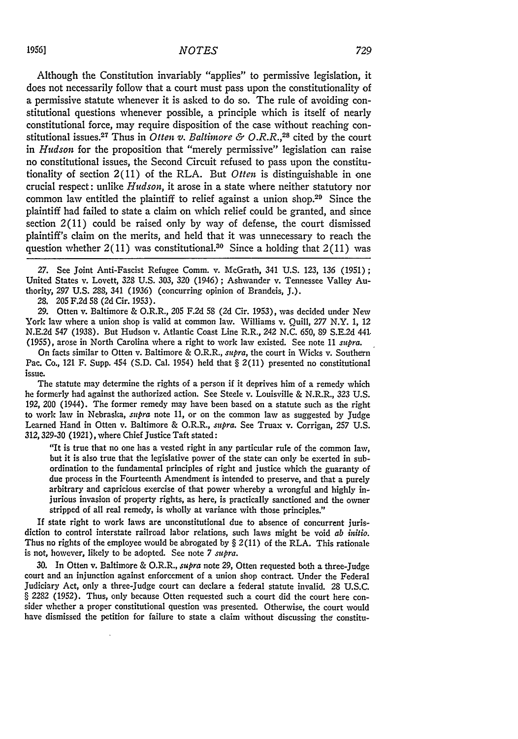Although the Constitution invariably "applies" to permissive legislation, it does not necessarily follow that a court must pass upon the constitutionality of a permissive statute whenever it is asked to do so. The rule of avoiding constitutional questions whenever possible, a principle which is itself of nearly constitutional force, may require disposition of the case without reaching constitutional issues.<sup>27</sup> Thus in *Otten v. Baltimore & O.R.R.*,<sup>28</sup> cited by the court in *Hudson* for the proposition that "merely permissive" legislation can raise no constitutional issues, the Second Circuit refused to pass upon the constitutionality of section 2(11) of the RLA. But *Otten* is distinguishable in one crucial respect: unlike *Hudson,* it arose in a state where neither statutory nor common law entitled the plaintiff to relief against a union shop.29 Since the plaintiff had failed to state a claim on which relief could be granted, and since section 2(11) could be raised only by way of defense, the court dismissed plaintiff's claim on the merits, and held that it was unnecessary to reach the question whether  $2(11)$  was constitutional.<sup>30</sup> Since a holding that  $2(11)$  was

*27.* See Joint Anti-Fascist Refugee Comm. v. McGrath, 341 U.S. 123, 136 (1951) **;** United States v. Lovett, 328 U.S. 303, 320 (1946) ; Ashwander v. Tennessee Valley Authority, *297* U.S. 288, 341 (1936) (concurring opinion of Brandeis, J.).

28. 205 F.2d 58 (2d Cir. 1953).

29. Otten v. Baltimore & O.R.R., 205 F.2d 58 (2d Cir. 1953), was decided under New York law where a union shop is valid at common law. Williams v. Quill, *277* N.Y. 1, 12 N.E.2d 547 (1938). But Hudson v. Atlantic Coast Line R.R., 242 N.C. 650, 89 S.E.2d 441. (1955), arose in North Carolina where a right to work law existed. See note 11 *supra.*

On facts similar to Otten v. Baltimore & O.R.R., *supra,* the court in Wicks v. Southern Pac. Co., 121 F. Supp. 454 (S.D. Cal. 1954) held that § 2(11) presented no constitutional issue.

The statute may determine the rights of a person if it deprives him of a remedy which he formerly had against the authorized action. See Steele v. Louisville & N.R.R., 323 U.S. 192, 200 (1944). The former remedy may have been based on a statute such as the right to work law in Nebraska, *supra* note **11,** or on the common law as suggested **by** Judge Learned Hand in Otten v. Baltimore **&** O.R.R., *supra.* See Truax v. Corrigan, **257 U.S. 312,329-30 (1921),** where Chief Justice Taft stated:

"It is true that no one has a vested right in any particular rule of the common law, but it is also true that the legislative power of the state can only be exerted in subordination to the fundamental principles of right and justice which the guaranty of due process in the Fourteenth Amendment is intended to preserve, and that a purely arbitrary and capricious exercise of that power whereby a wrongful and highly injurious invasion of property rights, as here, is practically sanctioned and the owner stripped of all real remedy, is wholly at variance with those principles."

If state right to work laws are unconstitutional due to absence of concurrent jurisdiction to control interstate railroad labor relations, such laws might be void *ab initio.* Thus no rights of the employee would be abrogated **by** § **2(11)** of the RLA. This rationale is not, however, likely to be adopted. See note **7** *supra.*

**30.** In Otten v. Baltimore & O.R.R., *,supra* note **29,** Otten requested both a three-Judge court and an injunction against enforcement of a union shop contract. Under the Federal Judiciary Act, only a three-Judge court can declare a federal statute invalid. 28 **U.S.C.** § 2282 (1952). Thus, only because Otten requested such a court did the court here consider whether a proper constitutional question was presented. Otherwise, the court would have dismissed the petition for failure to state a claim without discussing the constitu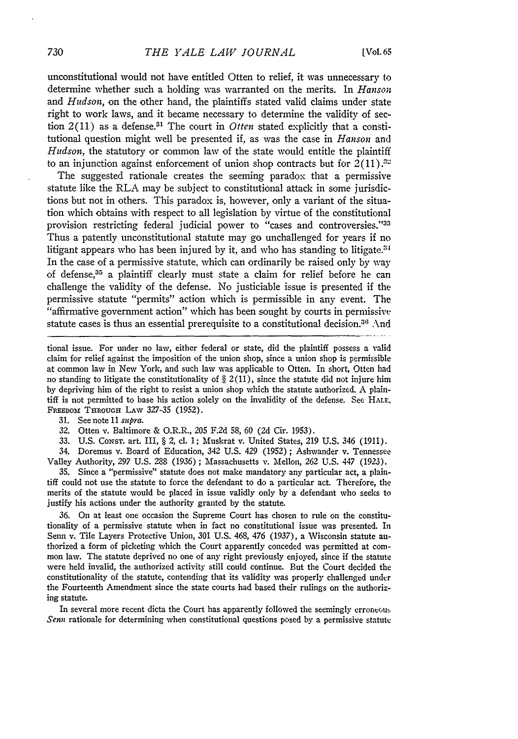unconstitutional would not have entitled Otten to relief, it was unnecessary to determine whether such a holding was warranted on the merits. In *Hanson* and *Hudson,* on the other hand, the plaintiffs stated valid claims under state right to work laws, and it became necessary to determine the validity of section 2(11) as a defense.31 The court in *Otten* stated explicitly that a constitutional question might well be presented if, as was the case in *Hanson* and *Hudson,* the statutory or common law of the state would entitle the plaintiff to an injunction against enforcement of union shop contracts but for  $2(11).^{32}$ 

The suggested rationale creates the seeming paradox that a permissive statute like the RLA may be subject to constitutional attack in some jurisdictions but not in others. This paradox is, however, only a variant of the situation which obtains with respect to all legislation by virtue of the constitutional provision restricting federal judicial power to "cases and controversies."33 Thus a patently unconstitutional statute may go unchallenged for years if no litigant appears who has been injured by it, and who has standing to litigate.<sup>34</sup> In the case of a permissive statute, which can ordinarily be raised only by way of defense,<sup>35</sup> a plaintiff clearly must state a claim for relief before he can challenge the validity of the defense. No justiciable issue is presented if the permissive statute "permits" action which is permissible in any event. The "affirmative government action" which has been sought by courts in permissive statute cases is thus an essential prerequisite to a constitutional decision.<sup>36</sup> And

tional issue. For under no law, either federal or state, did the plaintiff possess a valid claim for relief against the imposition of the union shop, since a union shop is permissible at common law in New York, and such law was applicable to Otten. In short, Otten had no standing to litigate the constitutionality of  $\S 2(11)$ , since the statute did not injure him by depriving him of the right to resist a union shop which the statute authorized. A plaintiff is not permitted to base his action solely on the invalidity of the defense. See HALF, FREEDOM THROUGH LAW 327-35 (1952).

31. See note 11 *supra.*

32. Otten v. Baltimore & O.R.R., 205 F.2d 58, 60 (2d Cir. 1953).

33. U.S. CoNsr. art. III, § 2, cl. 1; Muskrat v. United States, 219 U.S. 346 (1911).

34. Doremus v. Board of Education, 342 U.S. 429 (1952) ; Ashwander v. Tennessee Valley Authority, 297 U.S. 288 (1936) ; Massachusetts v. Mellon, 262 U.S. 447 (1923).

35. Since a "permissive" statute does not make mandatory any particular act, a plaintiff could not use the statute to force the defendant to do a particular act. Therefore, the merits of the statute would be placed in issue validly only by a defendant who seeks to justify his actions under the authority granted by the statute.

36. On at least one occasion the Supreme Court has chosen to rule on the constitutionality of a permissive statute when in fact no constitutional issue was presented. In Senn v. Tile Layers Protective Union, 301 U.S. 468, *476* (1937), a Wisconsin statute authorized a form of picketing which the Court apparently conceded was permitted at common law. The statute deprived no one of any right previously enjoyed, since if the statute were held invalid, the authorized activity still could continue. But the Court decided the constitutionality of the statute, contending that its validity was properly challenged under the Fourteenth Amendment since the state courts had based their rulings on the authorizing statute.

In several more recent dicta the Court has apparently followed the seemingly erroneous *Senn* rationale for determining when constitutional questions posed by a permissive statute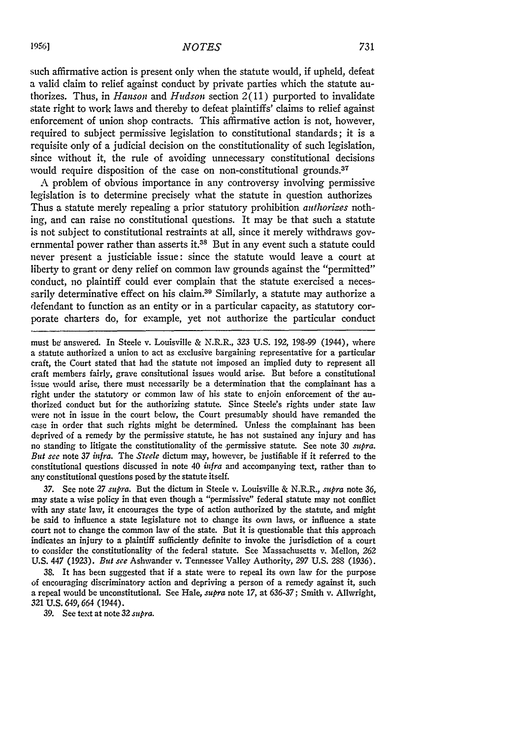such affirmative action is present only when the statute would, if upheld, defeat a valid claim to relief against conduct by private parties which the statute authorizes. Thus, in *Hanson* and *Hudson* section 2(11) purported to invalidate state right to work laws and thereby to defeat plaintiffs' claims to relief against enforcement of union shop contracts. This affirmative action is not, however, required to subject permissive legislation to constitutional standards; it is a requisite only of a judicial decision on the constitutionality of such legislation, since without it, the rule of avoiding unnecessary constitutional decisions would require disposition of the case on non-constitutional grounds.<sup>37</sup>

A problem of obvious importance in any controversy involving permissive legislation is to determine precisely what the statute in question authorizes Thus a statute merely repealing a prior statutory prohibition *authorizes* nothing, and can raise no constitutional questions. It may be that such a statute is not subject to constitutional restraints at all, since it merely withdraws governmental power rather than asserts it.<sup>38</sup> But in any event such a statute could never present a justiciable issue: since the statute would leave a court at liberty to grant or deny relief on common law grounds against the "permitted" conduct, no plaintiff could ever complain that the statute exercised a necessarily determinative effect on his claim.<sup>39</sup> Similarly, a statute may authorize a defendant to function as an entity or in a particular capacity, as statutory corporate charters do, for example, yet not authorize the particular conduct

must be answered. In Steele v. Louisville & N.R.R., 323 U.S. 192, 198-99 (1944), where a statute authorized a union to act as exclusive bargaining representative for a particular craft, the Court stated that had the statute not imposed an implied duty to represent all craft members fairly, grave consitutional issues would arise. But before a constitutional issue would arise, there must necessarily be a determination that the complainant has a right under the statutory or common law of his state to enjoin enforcement of the authorized conduct but for the authorizing statute. Since Steele's rights under state law were not in issue in the court below, the Court presumably should have remanded the case in order that such rights might be determined. Unless the complainant has been deprived of a remedy by the permissive statute, he has not sustained any injury and has no standing to litigate the constitutionality of the permissive statute. See note *30 supra. But see* note *37 infra.* The *Steele* dictum may, however, be justifiable if it referred to the constitutional questions discussed in note 40 *infra* and accompanying text, rather than to any constitutional questions posed by the statute itself.

37. See note 27 *supra.* But the dictum in Steele v. Louisville & N.R.R., *supra* note *36,* may state a wise policy in that even though a "permissive" federal statute may not conflict with any state law, it encourages the type of action authorized by the statute, and might be said to influence a state legislature not to change its own laws, or influence a state court not to change the common law of the state. But it is questionable that this approach indicates an injury to a plaintiff sufficiently definite to invoke the jurisdiction of a court to consider the constitutionality of the federal statute. See Massachusetts v. Mellon, 262 U.S. 447 (1923). *But see* Ashwander v. Tennessee Valley Authority, 297 U.S. 288 (1936).

38. It has been suggested that if a state were to repeal its own law for the purpose of encouraging discriminatory action and depriving a person of a remedy against it, such a repeal would be unconstitutional. See Hale, *supra* note 17, at 636-37; Smith v. Allwright, 321 U.S. 649, 664 (1944).

39. See text at note 32 *supra.*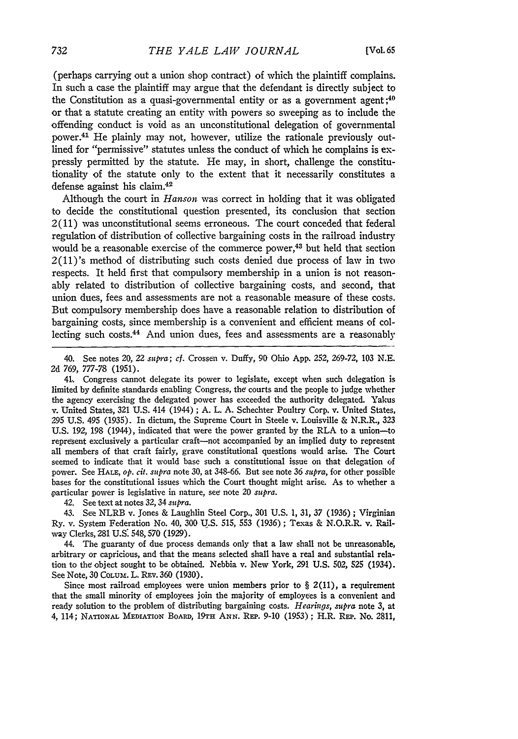(perhaps carrying out a union shop contract) of which the plaintiff complains. In such a case the plaintiff may argue that the defendant is directly subject to the Constitution as a quasi-governmental entity or as a government agent **;40** or that a statute creating an entity with powers so sweeping as to include the offending conduct is void as an unconstitutional delegation of governmental power. 41 He plainly may not, however, utilize the rationale previously outlined for "permissive" statutes unless the conduct of which he complains is expressly permitted by the statute. He may, in short, challenge the constitutionality of the statute only to the extent that it necessarily constitutes a defense against his claim. <sup>42</sup>

Although the court in *Hanson* was correct in holding that it was obligated to decide the constitutional question presented, its conclusion that section 2(11) was unconstitutional seems erroneous. The court conceded that federal regulation of distribution of collective bargaining costs in the railroad industry would be a reasonable exercise of the commerce power,<sup>43</sup> but held that section 2(11)'s method of distributing such costs denied due process of law in two respects. It held first that compulsory membership in a union is not reasonably related to distribution of collective bargaining costs, and second, that union dues, fees and assessments are not a reasonable measure of these costs. But compulsory membership does have a reasonable relation to distribution of bargaining costs, since membership is a convenient and efficient means of collecting such costs. 44 And union dues, fees and assessments are a reasonably

41.. Congress cannot delegate its power to legislate, except when such delegation is limited by definite standards enabling Congress, the courts and the people to judge whether the agency exercising the delegated power has exceeded the authority delegated. Yakus v. United States, 321 U.S. 414 (1944) ; A. L. A. Schechter Poultry Corp. v. United States, 295 U.S. 495 (1935). In dictum, the Supreme Court in Steele v. Louisville & N.R.R., 323 U.S. 192, 198 (1944), indicated that were the power granted by the RLA to a union-to represent exclusively a particular craft---not accompanied by an implied duty to represent all members of that craft fairly, grave constitutional questions would arise. The Court seemed to indicate that it would base such a constitutional issue on that delegation of power. See **HALE,** op. *cit. supra* note 30, at 348-66. But see note 36 *supra,* for other possible bases for the constitutional issues which the Court thought might arise. As to whether a particular power is legislative in nature, see note 20 *supra.*

42. See text at notes 32,34 *supra.*

43. See NLRB v. Jones & Laughlin Steel Corp., 301 U.S. 1, 31, 37 (1936); Virginian Ry. v. System Federation No. 40, 300 U.S. 515, 553 (1936) ; Texas & N.O.R.R. v. Railway Clerks, 281 **U.S.** 548, 570 (1929).

44. The guaranty of due process demands only that a law shall not be unreasonable, arbitrary or capricious, and that the means selected shall have a real and substantial relation to the object sought to be obtained. Nebbia v. New York, 291 U.S. 502, 525 (1934). See Note, 30 **COLUm.** L. REv. 360 (1930).

Since most railroad employees were union members prior to  $\S$  2(11), a requirement that the small minority of employees join the majority of employees is a convenient and ready solution to the problem of distributing bargaining costs. *Hearings, supra* note 3, at 4, 114; NATIONAL MEDIATION BOARD, 19TH ANN. REP. 9-10 (1953); H.R. REP. No. 2811,

<sup>40.</sup> See notes 20, 22 *supra; cf.* Crossen v. Duffy, 90 Ohio App. 252, 269-72, 103 N.E. 2d 769, 777-78 (1951).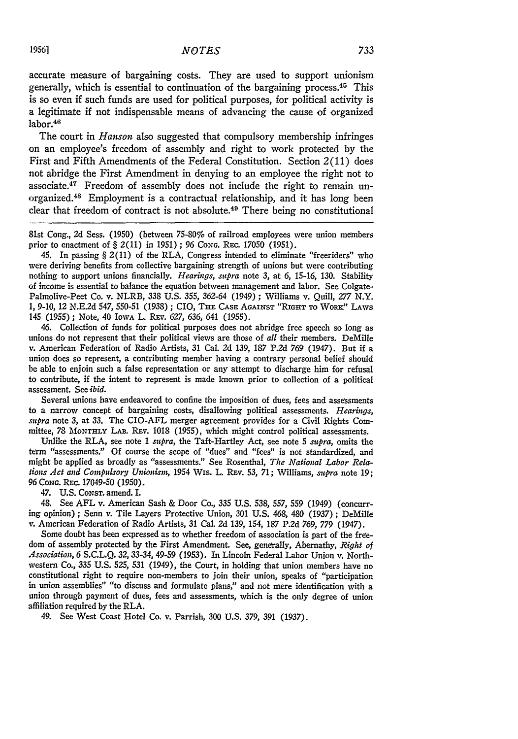accurate measure of bargaining costs. They are used to support unionism generally, which is essential to continuation of the bargaining process. 45 This is so even if such funds are used for political purposes, for political activity is a legitimate if not indispensable means of advancing the cause of organized labor.<sup>46</sup>

The court in *Hanson* also suggested that compulsory membership infringes on an employee's freedom of assembly and right to work protected by the First and Fifth Amendments of the Federal Constitution. Section 2(11) does not abridge the First Amendment in denying to an employee the right not to associate.47 Freedom of assembly does not include the right to remain unorganized. 48 Employment is a contractual relationship, and it has long been clear that freedom of contract is not absolute.49 There being no constitutional

81st Cong., 2d Sess. (1950) (between 75-80% of railroad employees were union members prior to enactment of § 2(11) in 1951) ; 96 **CONG.** Rzc. 17050 (1951).

45. In passing § 2(11) of the RLA, Congress intended to eliminate "freeriders" who were deriving benefits from collective bargaining strength of unions but were contributing nothing to support unions financially. *Hearings, supra* note *3,* at *6,* 15-16, 130. Stability of income is essential to balance the equation between management and labor. See Colgate-Palmolive-Peet Co. v. NLRB, 338 U.S. 355, *362-64* (1949) ; Williams v. Quill, *277* N.Y. 1, 9-10, 12 N.E.2d 547, 550-51 (1938) ; CIO, **THE** CASE **AGAINST** "RIGHT **To** WoR" LAWS 145 (1955) ; Note, 40 IowA L. Ray. *627,* 636, 641 (1955).

46. Collection of funds for political purposes does not abridge free speech so long as unions do not represent that their political views are those of *all* their members. DeMille v. American Federation of Radio Artists, 31 Cal. 2d 139, 187 P.2d **769** (1947). But if a union does so represent, a contributing member having a contrary personal belief should be able to enjoin such a false representation or any attempt to discharge him for refusal to contribute, if the intent to represent is made known prior to collection of a political assessment. See *ibid.*

Several unions have endeavored to confine the imposition of dues, fees and assessments to a narrow concept of bargaining costs, disallowing political assessments. *Hearings, supra* note 3, at 33. The CIO-AFL merger agreement provides for a Civil Rights Committee, 78 MONTHrLY LAB. REV. 1018 (1955), which might control political assessments.

Unlike the RLA, see note 1 *supra,* the Taft-Hartley Act, see note 5 *supra,* omits the term "assessments." Of course the scope of "dues" and "fees" is not standardized, and might be applied as broadly as "assessments." See Rosenthal, *The National Labor Relations Act and Compulsory Unionism, 1954 Wis. L. REv. 53, 71; Williams, supra note 19;* 96 *CONG.* Rzc. 17049-50 (1950).

47. U.S. CoNsT. amend. I.

48. See AFL v. American Sash & Door Co., 335 U.S. 538, 557, 559 (1949) (concurring opinion); Senn v. Tile Layers Protective Union, 301 U.S. 468, 480 (1937); DeMille v. American Federation of Radio Artists, 31 Cal. **2d** 139, 154, 187 P.2d *769, 779* (1947).

Some doubt has been expressed as to whether freedom of association is part of the freedom of assembly protected by the First Amendment. See, generally, Abernathy, *Right of Association,* 6 S.C.L.Q. 32,33-34, 49-59 (1953). In Lincoln Federal Labor Union v. Northwestern Co., 335 U.S. 525, 531 (1949), the Court, in holding that union members have no constitutional right to require non-members to join their union, speaks of "participation in union assemblies" "to discuss and formulate plans," and not mere identification with a union through payment of dues, fees and assessments, which is the only degree of union affiliation required by the RLA.

49. See West Coast Hotel Co. v. Parrish, 300 U.S. 379, 391 (1937).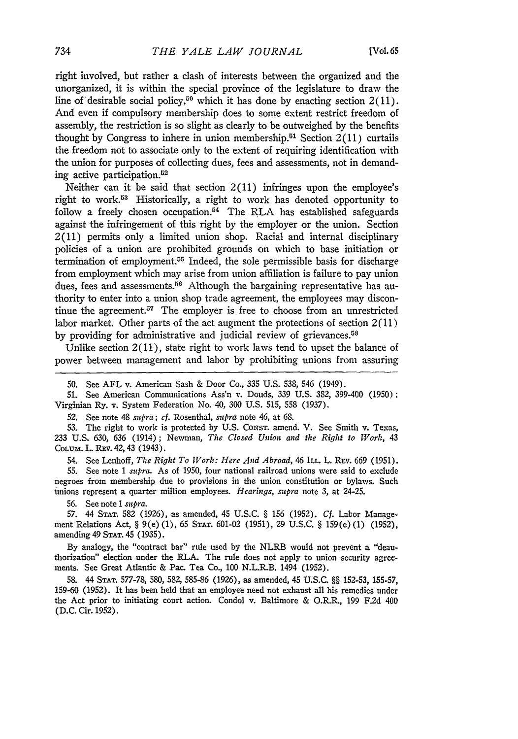right involved, but rather a clash of interests between the organized and the unorganized, it is within the special province of the legislature to draw the line of desirable social policy,<sup>50</sup> which it has done by enacting section  $2(11)$ . And even if compulsory membership does to some extent restrict freedom of assembly, the restriction is so slight as clearly to be outweighed by the benefits thought by Congress to inhere in union membership.<sup>51</sup> Section  $2(11)$  curtails the freedom not to associate only to the extent of requiring identification with the union for purposes of collecting dues, fees and assessments, not in demanding active participation.<sup>52</sup>

Neither can it be said that section 2(11) infringes upon the employee's right to work.53 Historically, a right to work has denoted opportunity to follow a freely chosen occupation.<sup>54</sup> The RLA has established safeguards against the infringement of this right by the employer or the union. Section 2(11) permits only a limited union shop. Racial and internal disciplinary policies of a union are prohibited grounds on which to base initiation or termination of employment.<sup>55</sup> Indeed, the sole permissible basis for discharge from employment which may arise from union affiliation is failure to pay union dues, fees and assessments.<sup>56</sup> Although the bargaining representative has authority to enter into a union shop trade agreement, the employees may discontinue the agreement.<sup>57</sup> The employer is free to choose from an unrestricted labor market. Other parts of the act augment the protections of section 2(11) by providing for administrative and judicial review of grievances.<sup>58</sup>

Unlike section  $2(11)$ , state right to work laws tend to upset the balance of power between management and labor by prohibiting unions from assuring

52. See note 48 *supra; cf.* Rosenthal, *supra* note 46, at 68.

53. The right to work is protected by U.S. Consr. amend. V. See Smith v. Texas, 233 U.S. 630, 636 (1914); Newman, *The Closed Union and the Right to Work,* 43 COLUM. L. REV. 42, 43 (1943).

54. See Lenhoff, *The Right To Work: Here And Abroad,* 46 **ILL.** L. REv. 669 (1951).

55. See note 1 *supra.* As of 1950, four national railroad unions were said to exclude negroes from membership due to provisions in the union constitution or bylaws. Such uinions represent a quarter million employees. *Hearings, supra* note 3, at 24-25.

56. See note 1 *subra*.

**57.** 44 **STAT.** 582 (1926), as amended, 45 U.S.C. **§** 156 (1952). *Cf.* Labor Management Relations Act, **§** 9(e) (1), 65 STAT. 601-02 (1951), 29 U.S.C. **§** 159(e) (1) (1952), amending 49 **STAT.** 45 (1935).

By analogy, the "contract bar" rule used by the NLRB would not prevent a "deauthorization" election under the RLA. The rule does not apply to union security agreements. See Great Atlantic & Pac. Tea Co., 100 N.L.R.B. 1494 (1952).

58. 44 **STAT.** 577-78, 580, 582, 585-86 (1926), as amended, 45 U.S.C. **§§** 152-53, 155-57, 159-60 (1952). It has been held that an employee need not exhaust all his remedies under the Act prior to initiating court action. Condol v. Baltimore & O.R.R., 199 F.2d 40D (D.C. Cir. 1952).

<sup>50.</sup> See AFL v. American Sash & Door Co., 335 U.S. 538, 546 (1949).

**<sup>51.</sup>** See American Communications Ass'n v. Douds, 339 **U.S.** 382, 399-400 (1950); Virginian Ry. v. System Federation No. 40, 300 U.S. 515, 558 (1937).